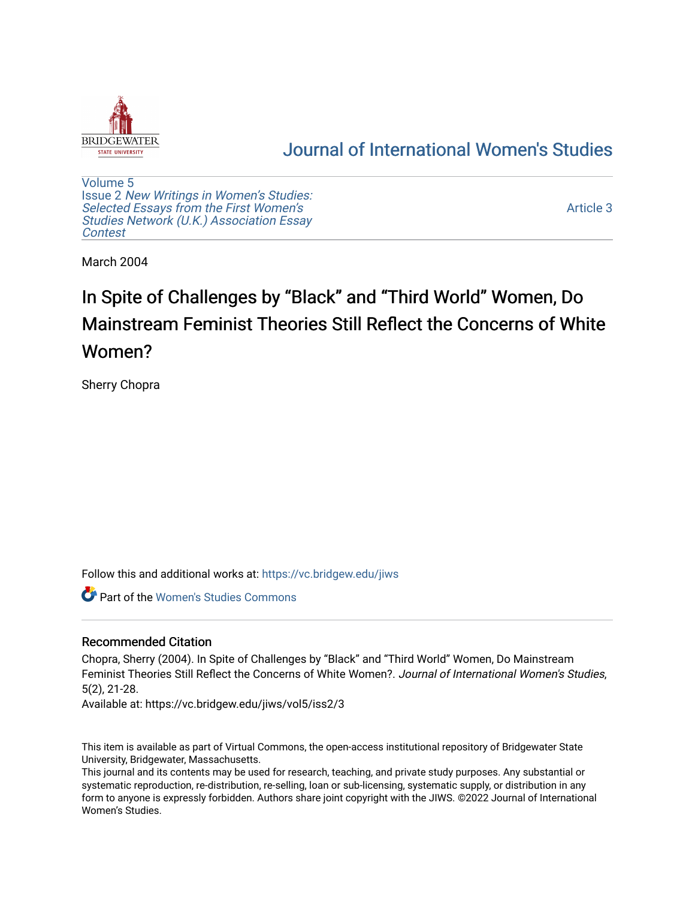

# [Journal of International Women's Studies](https://vc.bridgew.edu/jiws)

[Volume 5](https://vc.bridgew.edu/jiws/vol5) Issue 2 [New Writings in Women's Studies:](https://vc.bridgew.edu/jiws/vol5/iss2) [Selected Essays from the First Women's](https://vc.bridgew.edu/jiws/vol5/iss2) [Studies Network \(U.K.\) Association Essay](https://vc.bridgew.edu/jiws/vol5/iss2) [Contest](https://vc.bridgew.edu/jiws/vol5/iss2)

[Article 3](https://vc.bridgew.edu/jiws/vol5/iss2/3) 

March 2004

# In Spite of Challenges by "Black" and "Third World" Women, Do Mainstream Feminist Theories Still Reflect the Concerns of White Women?

Sherry Chopra

Follow this and additional works at: [https://vc.bridgew.edu/jiws](https://vc.bridgew.edu/jiws?utm_source=vc.bridgew.edu%2Fjiws%2Fvol5%2Fiss2%2F3&utm_medium=PDF&utm_campaign=PDFCoverPages)

Part of the [Women's Studies Commons](http://network.bepress.com/hgg/discipline/561?utm_source=vc.bridgew.edu%2Fjiws%2Fvol5%2Fiss2%2F3&utm_medium=PDF&utm_campaign=PDFCoverPages) 

## Recommended Citation

Chopra, Sherry (2004). In Spite of Challenges by "Black" and "Third World" Women, Do Mainstream Feminist Theories Still Reflect the Concerns of White Women?. Journal of International Women's Studies, 5(2), 21-28.

Available at: https://vc.bridgew.edu/jiws/vol5/iss2/3

This item is available as part of Virtual Commons, the open-access institutional repository of Bridgewater State University, Bridgewater, Massachusetts.

This journal and its contents may be used for research, teaching, and private study purposes. Any substantial or systematic reproduction, re-distribution, re-selling, loan or sub-licensing, systematic supply, or distribution in any form to anyone is expressly forbidden. Authors share joint copyright with the JIWS. ©2022 Journal of International Women's Studies.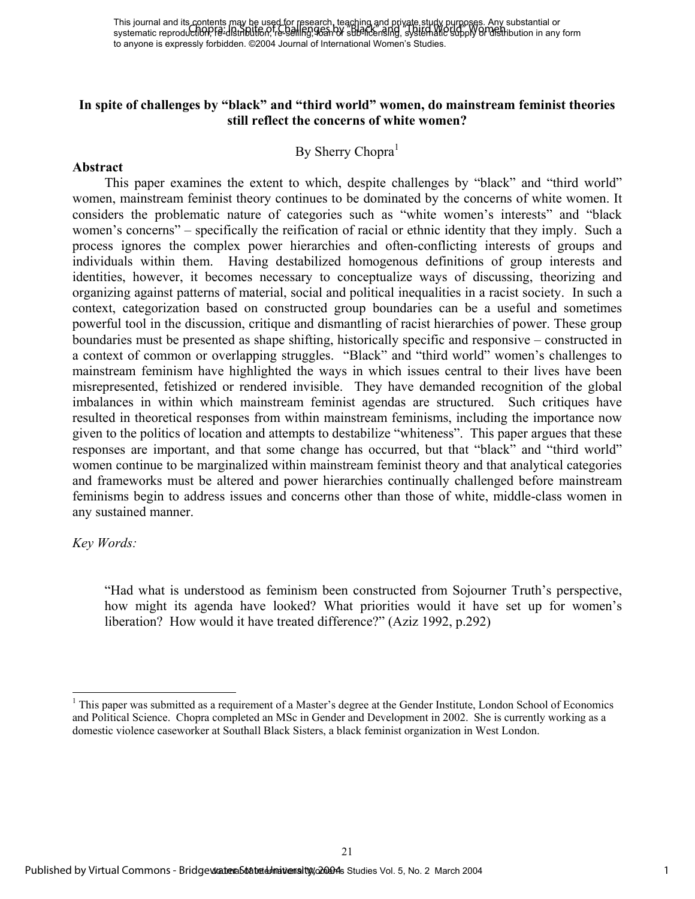### **In spite of challenges by "black" and "third world" women, do mainstream feminist theories still reflect the concerns of white women?**

#### By Sherry Chopra<sup>1</sup>

#### **Abstract**

This paper examines the extent to which, despite challenges by "black" and "third world" women, mainstream feminist theory continues to be dominated by the concerns of white women. It considers the problematic nature of categories such as "white women's interests" and "black women's concerns" – specifically the reification of racial or ethnic identity that they imply. Such a process ignores the complex power hierarchies and often-conflicting interests of groups and individuals within them. Having destabilized homogenous definitions of group interests and identities, however, it becomes necessary to conceptualize ways of discussing, theorizing and organizing against patterns of material, social and political inequalities in a racist society. In such a context, categorization based on constructed group boundaries can be a useful and sometimes powerful tool in the discussion, critique and dismantling of racist hierarchies of power. These group boundaries must be presented as shape shifting, historically specific and responsive – constructed in a context of common or overlapping struggles. "Black" and "third world" women's challenges to mainstream feminism have highlighted the ways in which issues central to their lives have been misrepresented, fetishized or rendered invisible. They have demanded recognition of the global imbalances in within which mainstream feminist agendas are structured. Such critiques have resulted in theoretical responses from within mainstream feminisms, including the importance now given to the politics of location and attempts to destabilize "whiteness". This paper argues that these responses are important, and that some change has occurred, but that "black" and "third world" women continue to be marginalized within mainstream feminist theory and that analytical categories and frameworks must be altered and power hierarchies continually challenged before mainstream feminisms begin to address issues and concerns other than those of white, middle-class women in any sustained manner.

#### *Key Words:*

l

"Had what is understood as feminism been constructed from Sojourner Truth's perspective, how might its agenda have looked? What priorities would it have set up for women's liberation? How would it have treated difference?" (Aziz 1992, p.292)

<sup>&</sup>lt;sup>1</sup> This paper was submitted as a requirement of a Master's degree at the Gender Institute, London School of Economics and Political Science. Chopra completed an MSc in Gender and Development in 2002. She is currently working as a domestic violence caseworker at Southall Black Sisters, a black feminist organization in West London.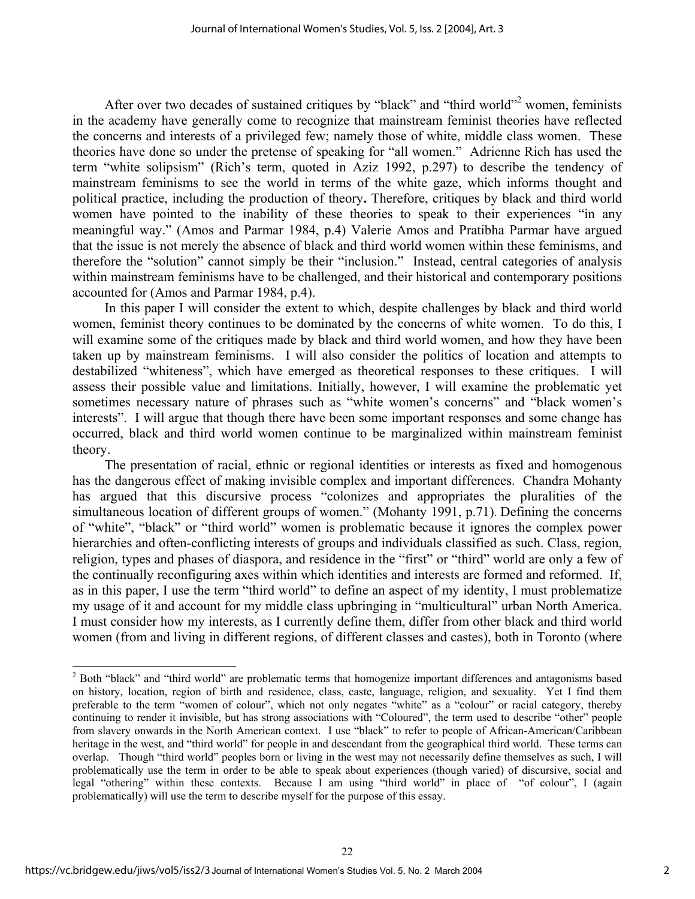After over two decades of sustained critiques by "black" and "third world"<sup>2</sup> women, feminists in the academy have generally come to recognize that mainstream feminist theories have reflected the concerns and interests of a privileged few; namely those of white, middle class women. These theories have done so under the pretense of speaking for "all women." Adrienne Rich has used the term "white solipsism" (Rich's term, quoted in Aziz 1992, p.297) to describe the tendency of mainstream feminisms to see the world in terms of the white gaze, which informs thought and political practice, including the production of theory**.** Therefore, critiques by black and third world women have pointed to the inability of these theories to speak to their experiences "in any meaningful way." (Amos and Parmar 1984, p.4) Valerie Amos and Pratibha Parmar have argued that the issue is not merely the absence of black and third world women within these feminisms, and therefore the "solution" cannot simply be their "inclusion." Instead, central categories of analysis within mainstream feminisms have to be challenged, and their historical and contemporary positions accounted for (Amos and Parmar 1984, p.4).

In this paper I will consider the extent to which, despite challenges by black and third world women, feminist theory continues to be dominated by the concerns of white women. To do this, I will examine some of the critiques made by black and third world women, and how they have been taken up by mainstream feminisms. I will also consider the politics of location and attempts to destabilized "whiteness", which have emerged as theoretical responses to these critiques. I will assess their possible value and limitations. Initially, however, I will examine the problematic yet sometimes necessary nature of phrases such as "white women's concerns" and "black women's interests". I will argue that though there have been some important responses and some change has occurred, black and third world women continue to be marginalized within mainstream feminist theory.

The presentation of racial, ethnic or regional identities or interests as fixed and homogenous has the dangerous effect of making invisible complex and important differences. Chandra Mohanty has argued that this discursive process "colonizes and appropriates the pluralities of the simultaneous location of different groups of women." (Mohanty 1991, p.71). Defining the concerns of "white", "black" or "third world" women is problematic because it ignores the complex power hierarchies and often-conflicting interests of groups and individuals classified as such. Class, region, religion, types and phases of diaspora, and residence in the "first" or "third" world are only a few of the continually reconfiguring axes within which identities and interests are formed and reformed. If, as in this paper, I use the term "third world" to define an aspect of my identity, I must problematize my usage of it and account for my middle class upbringing in "multicultural" urban North America. I must consider how my interests, as I currently define them, differ from other black and third world women (from and living in different regions, of different classes and castes), both in Toronto (where

22

 $\overline{a}$ 

 $2^2$  Both "black" and "third world" are problematic terms that homogenize important differences and antagonisms based on history, location, region of birth and residence, class, caste, language, religion, and sexuality. Yet I find them preferable to the term "women of colour", which not only negates "white" as a "colour" or racial category, thereby continuing to render it invisible, but has strong associations with "Coloured", the term used to describe "other" people from slavery onwards in the North American context. I use "black" to refer to people of African-American/Caribbean heritage in the west, and "third world" for people in and descendant from the geographical third world. These terms can overlap. Though "third world" peoples born or living in the west may not necessarily define themselves as such, I will problematically use the term in order to be able to speak about experiences (though varied) of discursive, social and legal "othering" within these contexts. Because I am using "third world" in place of "of colour", I (again problematically) will use the term to describe myself for the purpose of this essay.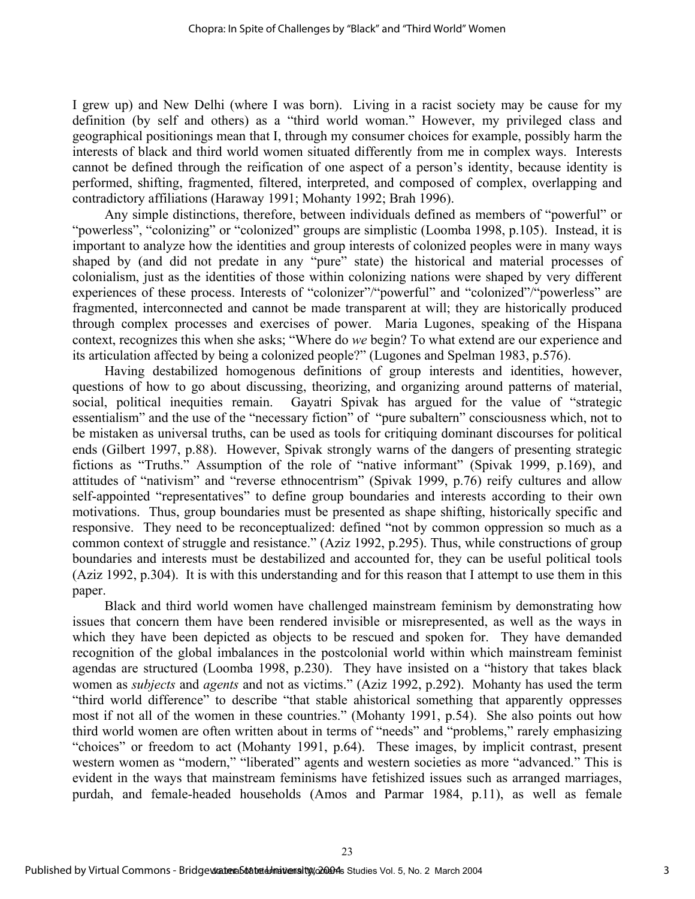I grew up) and New Delhi (where I was born). Living in a racist society may be cause for my definition (by self and others) as a "third world woman." However, my privileged class and geographical positionings mean that I, through my consumer choices for example, possibly harm the interests of black and third world women situated differently from me in complex ways. Interests cannot be defined through the reification of one aspect of a person's identity, because identity is performed, shifting, fragmented, filtered, interpreted, and composed of complex, overlapping and contradictory affiliations (Haraway 1991; Mohanty 1992; Brah 1996).

Any simple distinctions, therefore, between individuals defined as members of "powerful" or "powerless", "colonizing" or "colonized" groups are simplistic (Loomba 1998, p.105). Instead, it is important to analyze how the identities and group interests of colonized peoples were in many ways shaped by (and did not predate in any "pure" state) the historical and material processes of colonialism, just as the identities of those within colonizing nations were shaped by very different experiences of these process. Interests of "colonizer"/"powerful" and "colonized"/"powerless" are fragmented, interconnected and cannot be made transparent at will; they are historically produced through complex processes and exercises of power. Maria Lugones, speaking of the Hispana context, recognizes this when she asks; "Where do *we* begin? To what extend are our experience and its articulation affected by being a colonized people?" (Lugones and Spelman 1983, p.576).

Having destabilized homogenous definitions of group interests and identities, however, questions of how to go about discussing, theorizing, and organizing around patterns of material, social, political inequities remain. Gayatri Spivak has argued for the value of "strategic essentialism" and the use of the "necessary fiction" of "pure subaltern" consciousness which, not to be mistaken as universal truths, can be used as tools for critiquing dominant discourses for political ends (Gilbert 1997, p.88). However, Spivak strongly warns of the dangers of presenting strategic fictions as "Truths." Assumption of the role of "native informant" (Spivak 1999, p.169), and attitudes of "nativism" and "reverse ethnocentrism" (Spivak 1999, p.76) reify cultures and allow self-appointed "representatives" to define group boundaries and interests according to their own motivations. Thus, group boundaries must be presented as shape shifting, historically specific and responsive. They need to be reconceptualized: defined "not by common oppression so much as a common context of struggle and resistance." (Aziz 1992, p.295). Thus, while constructions of group boundaries and interests must be destabilized and accounted for, they can be useful political tools (Aziz 1992, p.304). It is with this understanding and for this reason that I attempt to use them in this paper.

Black and third world women have challenged mainstream feminism by demonstrating how issues that concern them have been rendered invisible or misrepresented, as well as the ways in which they have been depicted as objects to be rescued and spoken for. They have demanded recognition of the global imbalances in the postcolonial world within which mainstream feminist agendas are structured (Loomba 1998, p.230). They have insisted on a "history that takes black women as *subjects* and *agents* and not as victims." (Aziz 1992, p.292). Mohanty has used the term "third world difference" to describe "that stable ahistorical something that apparently oppresses most if not all of the women in these countries." (Mohanty 1991, p.54). She also points out how third world women are often written about in terms of "needs" and "problems," rarely emphasizing "choices" or freedom to act (Mohanty 1991, p.64). These images, by implicit contrast, present western women as "modern," "liberated" agents and western societies as more "advanced." This is evident in the ways that mainstream feminisms have fetishized issues such as arranged marriages, purdah, and female-headed households (Amos and Parmar 1984, p.11), as well as female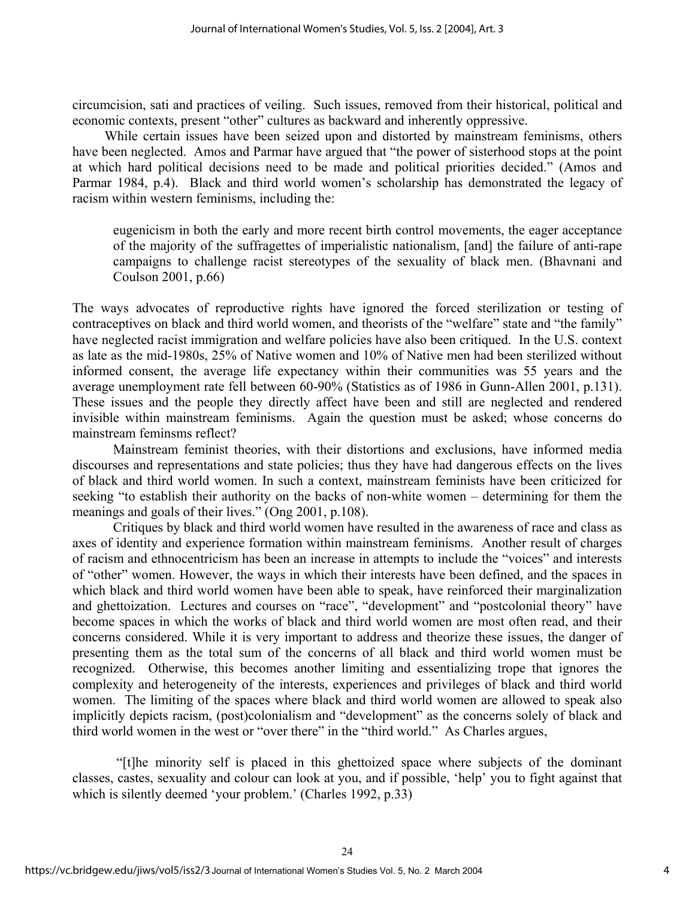circumcision, sati and practices of veiling. Such issues, removed from their historical, political and economic contexts, present "other" cultures as backward and inherently oppressive.

While certain issues have been seized upon and distorted by mainstream feminisms, others have been neglected. Amos and Parmar have argued that "the power of sisterhood stops at the point at which hard political decisions need to be made and political priorities decided." (Amos and Parmar 1984, p.4). Black and third world women's scholarship has demonstrated the legacy of racism within western feminisms, including the:

eugenicism in both the early and more recent birth control movements, the eager acceptance of the majority of the suffragettes of imperialistic nationalism, [and] the failure of anti-rape campaigns to challenge racist stereotypes of the sexuality of black men. (Bhavnani and Coulson 2001, p.66)

The ways advocates of reproductive rights have ignored the forced sterilization or testing of contraceptives on black and third world women, and theorists of the "welfare" state and "the family" have neglected racist immigration and welfare policies have also been critiqued. In the U.S. context as late as the mid-1980s, 25% of Native women and 10% of Native men had been sterilized without informed consent, the average life expectancy within their communities was 55 years and the average unemployment rate fell between 60-90% (Statistics as of 1986 in Gunn-Allen 2001, p.131). These issues and the people they directly affect have been and still are neglected and rendered invisible within mainstream feminisms. Again the question must be asked; whose concerns do mainstream feminsms reflect?

Mainstream feminist theories, with their distortions and exclusions, have informed media discourses and representations and state policies; thus they have had dangerous effects on the lives of black and third world women. In such a context, mainstream feminists have been criticized for seeking "to establish their authority on the backs of non-white women – determining for them the meanings and goals of their lives." (Ong 2001, p.108).

Critiques by black and third world women have resulted in the awareness of race and class as axes of identity and experience formation within mainstream feminisms. Another result of charges of racism and ethnocentricism has been an increase in attempts to include the "voices" and interests of "other" women. However, the ways in which their interests have been defined, and the spaces in which black and third world women have been able to speak, have reinforced their marginalization and ghettoization. Lectures and courses on "race", "development" and "postcolonial theory" have become spaces in which the works of black and third world women are most often read, and their concerns considered. While it is very important to address and theorize these issues, the danger of presenting them as the total sum of the concerns of all black and third world women must be recognized. Otherwise, this becomes another limiting and essentializing trope that ignores the complexity and heterogeneity of the interests, experiences and privileges of black and third world women. The limiting of the spaces where black and third world women are allowed to speak also implicitly depicts racism, (post)colonialism and "development" as the concerns solely of black and third world women in the west or "over there" in the "third world." As Charles argues,

 "[t]he minority self is placed in this ghettoized space where subjects of the dominant classes, castes, sexuality and colour can look at you, and if possible, 'help' you to fight against that which is silently deemed 'your problem.' (Charles 1992, p.33)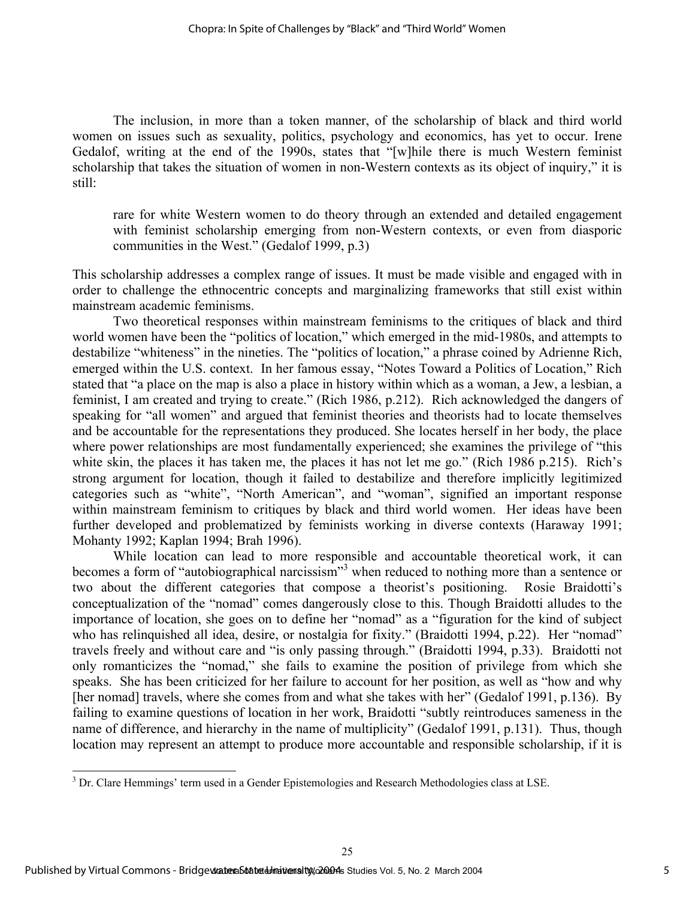The inclusion, in more than a token manner, of the scholarship of black and third world women on issues such as sexuality, politics, psychology and economics, has yet to occur. Irene Gedalof, writing at the end of the 1990s, states that "[w]hile there is much Western feminist scholarship that takes the situation of women in non-Western contexts as its object of inquiry," it is still:

rare for white Western women to do theory through an extended and detailed engagement with feminist scholarship emerging from non-Western contexts, or even from diasporic communities in the West." (Gedalof 1999, p.3)

This scholarship addresses a complex range of issues. It must be made visible and engaged with in order to challenge the ethnocentric concepts and marginalizing frameworks that still exist within mainstream academic feminisms.

Two theoretical responses within mainstream feminisms to the critiques of black and third world women have been the "politics of location," which emerged in the mid-1980s, and attempts to destabilize "whiteness" in the nineties. The "politics of location," a phrase coined by Adrienne Rich, emerged within the U.S. context. In her famous essay, "Notes Toward a Politics of Location," Rich stated that "a place on the map is also a place in history within which as a woman, a Jew, a lesbian, a feminist, I am created and trying to create." (Rich 1986, p.212). Rich acknowledged the dangers of speaking for "all women" and argued that feminist theories and theorists had to locate themselves and be accountable for the representations they produced. She locates herself in her body, the place where power relationships are most fundamentally experienced; she examines the privilege of "this white skin, the places it has taken me, the places it has not let me go." (Rich 1986 p.215). Rich's strong argument for location, though it failed to destabilize and therefore implicitly legitimized categories such as "white", "North American", and "woman", signified an important response within mainstream feminism to critiques by black and third world women. Her ideas have been further developed and problematized by feminists working in diverse contexts (Haraway 1991; Mohanty 1992; Kaplan 1994; Brah 1996).

While location can lead to more responsible and accountable theoretical work, it can becomes a form of "autobiographical narcissism"<sup>3</sup> when reduced to nothing more than a sentence or two about the different categories that compose a theorist's positioning. Rosie Braidotti's conceptualization of the "nomad" comes dangerously close to this. Though Braidotti alludes to the importance of location, she goes on to define her "nomad" as a "figuration for the kind of subject who has relinquished all idea, desire, or nostalgia for fixity." (Braidotti 1994, p.22). Her "nomad" travels freely and without care and "is only passing through." (Braidotti 1994, p.33). Braidotti not only romanticizes the "nomad," she fails to examine the position of privilege from which she speaks. She has been criticized for her failure to account for her position, as well as "how and why [her nomad] travels, where she comes from and what she takes with her" (Gedalof 1991, p.136). By failing to examine questions of location in her work, Braidotti "subtly reintroduces sameness in the name of difference, and hierarchy in the name of multiplicity" (Gedalof 1991, p.131). Thus, though location may represent an attempt to produce more accountable and responsible scholarship, if it is

l

<sup>&</sup>lt;sup>3</sup> Dr. Clare Hemmings' term used in a Gender Epistemologies and Research Methodologies class at LSE.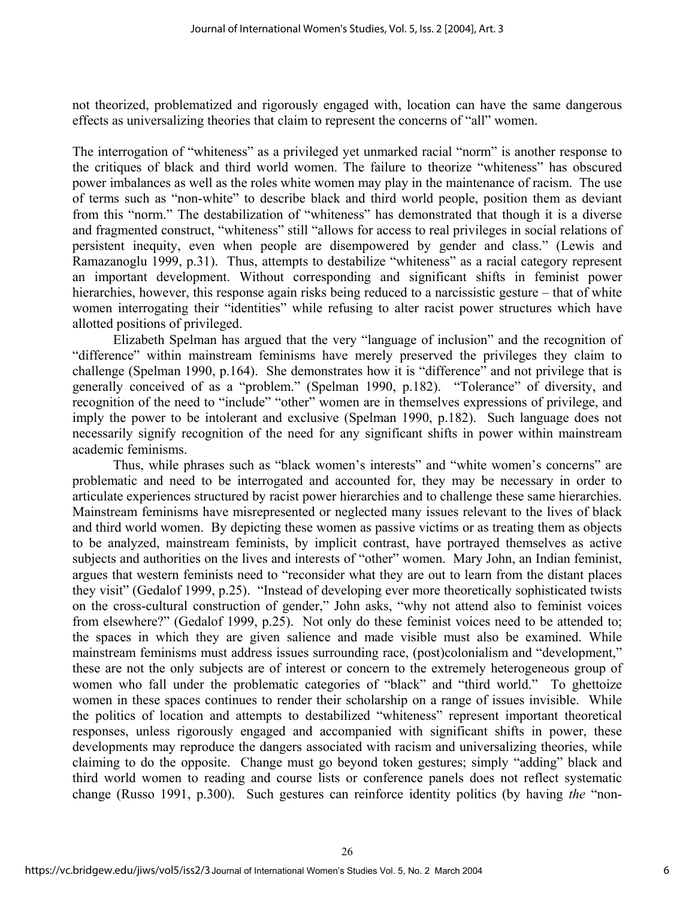not theorized, problematized and rigorously engaged with, location can have the same dangerous effects as universalizing theories that claim to represent the concerns of "all" women.

The interrogation of "whiteness" as a privileged yet unmarked racial "norm" is another response to the critiques of black and third world women. The failure to theorize "whiteness" has obscured power imbalances as well as the roles white women may play in the maintenance of racism. The use of terms such as "non-white" to describe black and third world people, position them as deviant from this "norm." The destabilization of "whiteness" has demonstrated that though it is a diverse and fragmented construct, "whiteness" still "allows for access to real privileges in social relations of persistent inequity, even when people are disempowered by gender and class." (Lewis and Ramazanoglu 1999, p.31). Thus, attempts to destabilize "whiteness" as a racial category represent an important development. Without corresponding and significant shifts in feminist power hierarchies, however, this response again risks being reduced to a narcissistic gesture – that of white women interrogating their "identities" while refusing to alter racist power structures which have allotted positions of privileged.

Elizabeth Spelman has argued that the very "language of inclusion" and the recognition of "difference" within mainstream feminisms have merely preserved the privileges they claim to challenge (Spelman 1990, p.164). She demonstrates how it is "difference" and not privilege that is generally conceived of as a "problem." (Spelman 1990, p.182). "Tolerance" of diversity, and recognition of the need to "include" "other" women are in themselves expressions of privilege, and imply the power to be intolerant and exclusive (Spelman 1990, p.182). Such language does not necessarily signify recognition of the need for any significant shifts in power within mainstream academic feminisms.

Thus, while phrases such as "black women's interests" and "white women's concerns" are problematic and need to be interrogated and accounted for, they may be necessary in order to articulate experiences structured by racist power hierarchies and to challenge these same hierarchies. Mainstream feminisms have misrepresented or neglected many issues relevant to the lives of black and third world women. By depicting these women as passive victims or as treating them as objects to be analyzed, mainstream feminists, by implicit contrast, have portrayed themselves as active subjects and authorities on the lives and interests of "other" women. Mary John, an Indian feminist, argues that western feminists need to "reconsider what they are out to learn from the distant places they visit" (Gedalof 1999, p.25). "Instead of developing ever more theoretically sophisticated twists on the cross-cultural construction of gender," John asks, "why not attend also to feminist voices from elsewhere?" (Gedalof 1999, p.25). Not only do these feminist voices need to be attended to; the spaces in which they are given salience and made visible must also be examined. While mainstream feminisms must address issues surrounding race, (post)colonialism and "development," these are not the only subjects are of interest or concern to the extremely heterogeneous group of women who fall under the problematic categories of "black" and "third world." To ghettoize women in these spaces continues to render their scholarship on a range of issues invisible. While the politics of location and attempts to destabilized "whiteness" represent important theoretical responses, unless rigorously engaged and accompanied with significant shifts in power, these developments may reproduce the dangers associated with racism and universalizing theories, while claiming to do the opposite. Change must go beyond token gestures; simply "adding" black and third world women to reading and course lists or conference panels does not reflect systematic change (Russo 1991, p.300). Such gestures can reinforce identity politics (by having *the* "non-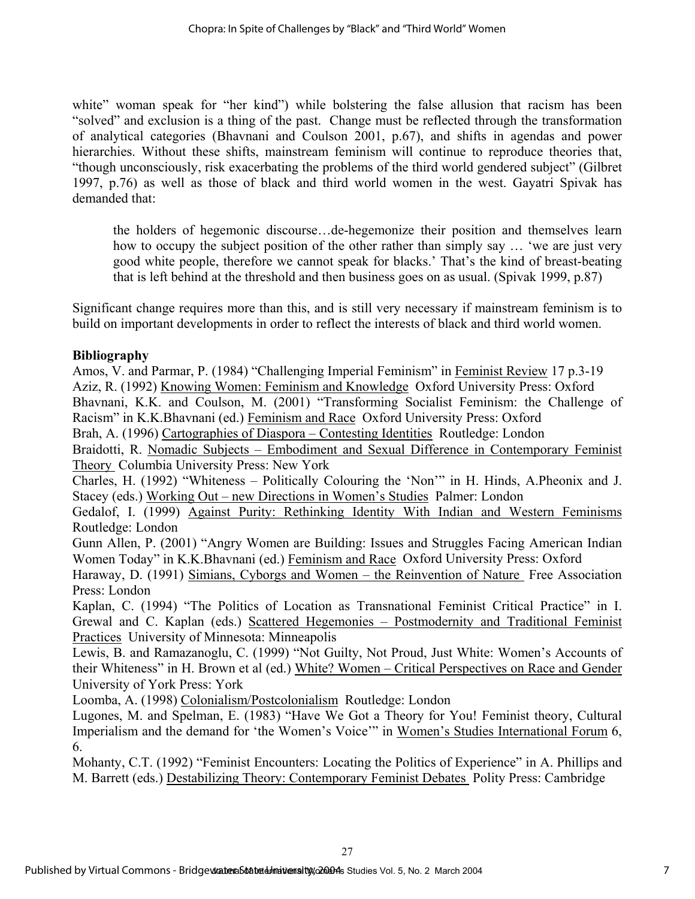white" woman speak for "her kind") while bolstering the false allusion that racism has been "solved" and exclusion is a thing of the past. Change must be reflected through the transformation of analytical categories (Bhavnani and Coulson 2001, p.67), and shifts in agendas and power hierarchies. Without these shifts, mainstream feminism will continue to reproduce theories that, "though unconsciously, risk exacerbating the problems of the third world gendered subject" (Gilbret 1997, p.76) as well as those of black and third world women in the west. Gayatri Spivak has demanded that:

the holders of hegemonic discourse…de-hegemonize their position and themselves learn how to occupy the subject position of the other rather than simply say … 'we are just very good white people, therefore we cannot speak for blacks.' That's the kind of breast-beating that is left behind at the threshold and then business goes on as usual. (Spivak 1999, p.87)

Significant change requires more than this, and is still very necessary if mainstream feminism is to build on important developments in order to reflect the interests of black and third world women.

# **Bibliography**

Amos, V. and Parmar, P. (1984) "Challenging Imperial Feminism" in Feminist Review 17 p.3-19 Aziz, R. (1992) Knowing Women: Feminism and Knowledge Oxford University Press: Oxford Bhavnani, K.K. and Coulson, M. (2001) "Transforming Socialist Feminism: the Challenge of Racism" in K.K.Bhavnani (ed.) Feminism and Race Oxford University Press: Oxford Brah, A. (1996) Cartographies of Diaspora – Contesting Identities Routledge: London Braidotti, R. Nomadic Subjects – Embodiment and Sexual Difference in Contemporary Feminist Theory Columbia University Press: New York Charles, H. (1992) "Whiteness – Politically Colouring the 'Non'" in H. Hinds, A.Pheonix and J. Stacey (eds.) Working Out – new Directions in Women's Studies Palmer: London Gedalof, I. (1999) Against Purity: Rethinking Identity With Indian and Western Feminisms Routledge: London Gunn Allen, P. (2001) "Angry Women are Building: Issues and Struggles Facing American Indian Women Today" in K.K.Bhavnani (ed.) Feminism and Race Oxford University Press: Oxford Haraway, D. (1991) Simians, Cyborgs and Women – the Reinvention of Nature Free Association Press: London Kaplan, C. (1994) "The Politics of Location as Transnational Feminist Critical Practice" in I. Grewal and C. Kaplan (eds.) Scattered Hegemonies – Postmodernity and Traditional Feminist Practices University of Minnesota: Minneapolis Lewis, B. and Ramazanoglu, C. (1999) "Not Guilty, Not Proud, Just White: Women's Accounts of their Whiteness" in H. Brown et al (ed.) White? Women – Critical Perspectives on Race and Gender University of York Press: York Loomba, A. (1998) Colonialism/Postcolonialism Routledge: London Lugones, M. and Spelman, E. (1983) "Have We Got a Theory for You! Feminist theory, Cultural

Imperialism and the demand for 'the Women's Voice'" in Women's Studies International Forum 6, 6.

Mohanty, C.T. (1992) "Feminist Encounters: Locating the Politics of Experience" in A. Phillips and M. Barrett (eds.) Destabilizing Theory: Contemporary Feminist Debates Polity Press: Cambridge